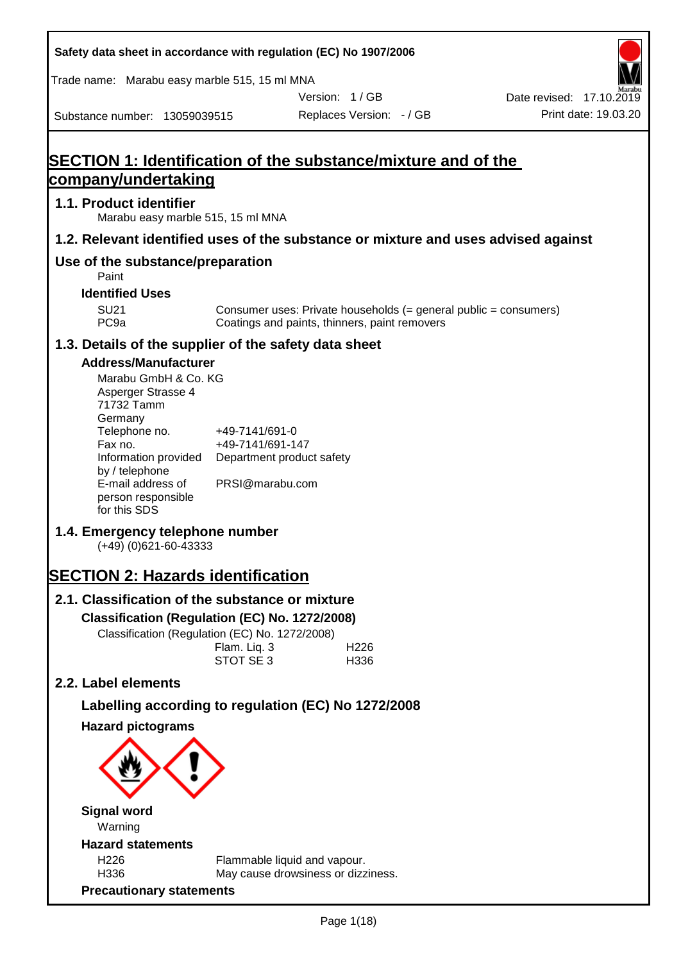| Safety data sheet in accordance with regulation (EC) No 1907/2006                                                                                                                                                   |                                                                                    |                                                                                                                   |                                                  |
|---------------------------------------------------------------------------------------------------------------------------------------------------------------------------------------------------------------------|------------------------------------------------------------------------------------|-------------------------------------------------------------------------------------------------------------------|--------------------------------------------------|
| Trade name: Marabu easy marble 515, 15 ml MNA                                                                                                                                                                       |                                                                                    |                                                                                                                   |                                                  |
| Substance number: 13059039515                                                                                                                                                                                       |                                                                                    | Version: 1/GB<br>Replaces Version: - / GB                                                                         | Date revised: 17.10.2019<br>Print date: 19.03.20 |
|                                                                                                                                                                                                                     |                                                                                    |                                                                                                                   |                                                  |
| SECTION 1: Identification of the substance/mixture and of the<br>company/undertaking                                                                                                                                |                                                                                    |                                                                                                                   |                                                  |
| 1.1. Product identifier<br>Marabu easy marble 515, 15 ml MNA                                                                                                                                                        |                                                                                    |                                                                                                                   |                                                  |
| 1.2. Relevant identified uses of the substance or mixture and uses advised against                                                                                                                                  |                                                                                    |                                                                                                                   |                                                  |
| Use of the substance/preparation<br>Paint                                                                                                                                                                           |                                                                                    |                                                                                                                   |                                                  |
| <b>Identified Uses</b>                                                                                                                                                                                              |                                                                                    |                                                                                                                   |                                                  |
| <b>SU21</b><br>PC <sub>9a</sub>                                                                                                                                                                                     |                                                                                    | Consumer uses: Private households (= general public = consumers)<br>Coatings and paints, thinners, paint removers |                                                  |
| 1.3. Details of the supplier of the safety data sheet                                                                                                                                                               |                                                                                    |                                                                                                                   |                                                  |
| <b>Address/Manufacturer</b><br>Marabu GmbH & Co. KG<br>Asperger Strasse 4<br>71732 Tamm<br>Germany<br>Telephone no.<br>Fax no.<br>Information provided<br>by / telephone<br>E-mail address of<br>person responsible | +49-7141/691-0<br>+49-7141/691-147<br>Department product safety<br>PRSI@marabu.com |                                                                                                                   |                                                  |
| for this SDS<br>1.4. Emergency telephone number<br>$(+49)$ (0)621-60-43333                                                                                                                                          |                                                                                    |                                                                                                                   |                                                  |
| <b>SECTION 2: Hazards identification</b>                                                                                                                                                                            |                                                                                    |                                                                                                                   |                                                  |
| 2.1. Classification of the substance or mixture                                                                                                                                                                     |                                                                                    |                                                                                                                   |                                                  |
| Classification (Regulation (EC) No. 1272/2008)                                                                                                                                                                      |                                                                                    |                                                                                                                   |                                                  |
| Classification (Regulation (EC) No. 1272/2008)                                                                                                                                                                      | Flam. Liq. 3<br>STOT SE 3                                                          | H <sub>226</sub><br>H336                                                                                          |                                                  |
| 2.2. Label elements                                                                                                                                                                                                 |                                                                                    |                                                                                                                   |                                                  |
| Labelling according to regulation (EC) No 1272/2008                                                                                                                                                                 |                                                                                    |                                                                                                                   |                                                  |
| <b>Hazard pictograms</b>                                                                                                                                                                                            |                                                                                    |                                                                                                                   |                                                  |
|                                                                                                                                                                                                                     |                                                                                    |                                                                                                                   |                                                  |
| <b>Signal word</b><br>Warning                                                                                                                                                                                       |                                                                                    |                                                                                                                   |                                                  |
| <b>Hazard statements</b>                                                                                                                                                                                            |                                                                                    |                                                                                                                   |                                                  |
| H226<br>H336                                                                                                                                                                                                        |                                                                                    | Flammable liquid and vapour.<br>May cause drowsiness or dizziness.                                                |                                                  |
| <b>Precautionary statements</b>                                                                                                                                                                                     |                                                                                    |                                                                                                                   |                                                  |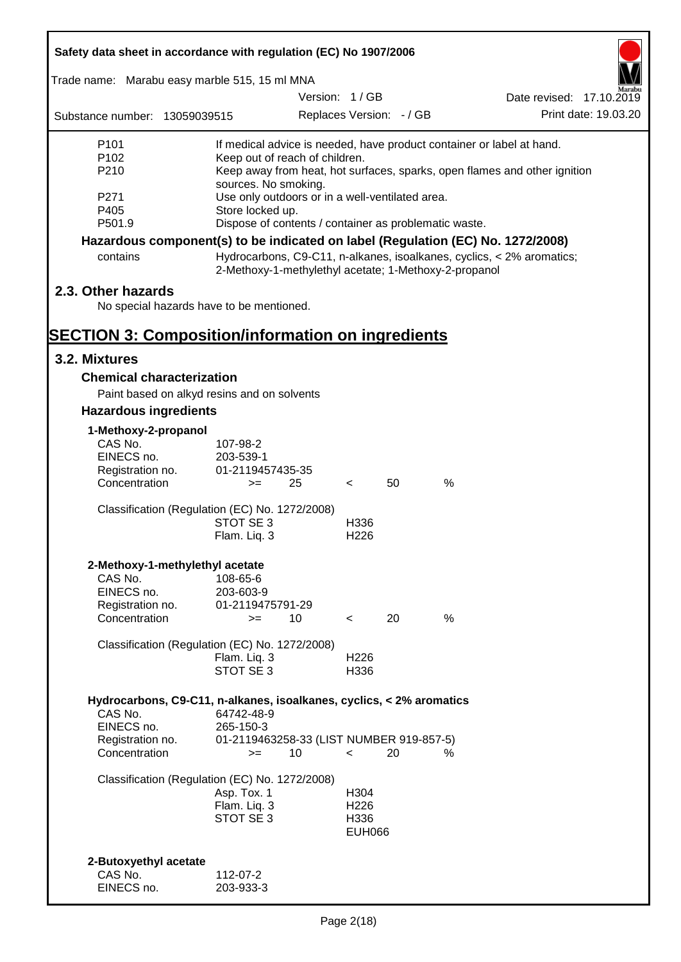| Safety data sheet in accordance with regulation (EC) No 1907/2006               |                               |                                                       |                          |    |      |                                                                           |
|---------------------------------------------------------------------------------|-------------------------------|-------------------------------------------------------|--------------------------|----|------|---------------------------------------------------------------------------|
| Trade name: Marabu easy marble 515, 15 ml MNA                                   |                               |                                                       |                          |    |      |                                                                           |
|                                                                                 |                               | Version: 1/GB                                         |                          |    |      | Date revised: 17.10.2019                                                  |
| Substance number: 13059039515                                                   |                               |                                                       | Replaces Version: - / GB |    |      | Print date: 19.03.20                                                      |
| P <sub>101</sub>                                                                |                               |                                                       |                          |    |      | If medical advice is needed, have product container or label at hand.     |
| P <sub>102</sub>                                                                |                               | Keep out of reach of children.                        |                          |    |      |                                                                           |
| P210                                                                            | sources. No smoking.          |                                                       |                          |    |      | Keep away from heat, hot surfaces, sparks, open flames and other ignition |
| P271                                                                            |                               | Use only outdoors or in a well-ventilated area.       |                          |    |      |                                                                           |
| P405                                                                            | Store locked up.              |                                                       |                          |    |      |                                                                           |
| P501.9                                                                          |                               | Dispose of contents / container as problematic waste. |                          |    |      |                                                                           |
| Hazardous component(s) to be indicated on label (Regulation (EC) No. 1272/2008) |                               |                                                       |                          |    |      |                                                                           |
| contains                                                                        |                               | 2-Methoxy-1-methylethyl acetate; 1-Methoxy-2-propanol |                          |    |      | Hydrocarbons, C9-C11, n-alkanes, isoalkanes, cyclics, < 2% aromatics;     |
| 2.3. Other hazards                                                              |                               |                                                       |                          |    |      |                                                                           |
| No special hazards have to be mentioned.                                        |                               |                                                       |                          |    |      |                                                                           |
| <b>SECTION 3: Composition/information on ingredients</b>                        |                               |                                                       |                          |    |      |                                                                           |
| 3.2. Mixtures                                                                   |                               |                                                       |                          |    |      |                                                                           |
| <b>Chemical characterization</b>                                                |                               |                                                       |                          |    |      |                                                                           |
| Paint based on alkyd resins and on solvents                                     |                               |                                                       |                          |    |      |                                                                           |
| <b>Hazardous ingredients</b>                                                    |                               |                                                       |                          |    |      |                                                                           |
| 1-Methoxy-2-propanol                                                            |                               |                                                       |                          |    |      |                                                                           |
| CAS No.                                                                         | 107-98-2                      |                                                       |                          |    |      |                                                                           |
| EINECS no.<br>Registration no.                                                  | 203-539-1<br>01-2119457435-35 |                                                       |                          |    |      |                                                                           |
| Concentration                                                                   | $>=$                          | 25                                                    | $\lt$                    | 50 | $\%$ |                                                                           |
| Classification (Regulation (EC) No. 1272/2008)                                  |                               |                                                       |                          |    |      |                                                                           |
|                                                                                 | STOT SE 3                     |                                                       | H336                     |    |      |                                                                           |
|                                                                                 | Flam. Liq. 3                  |                                                       | H <sub>226</sub>         |    |      |                                                                           |
| 2-Methoxy-1-methylethyl acetate                                                 |                               |                                                       |                          |    |      |                                                                           |
| CAS No.                                                                         | 108-65-6                      |                                                       |                          |    |      |                                                                           |
| EINECS no.                                                                      | 203-603-9                     |                                                       |                          |    |      |                                                                           |
| Registration no.<br>Concentration                                               | 01-2119475791-29<br>$>=$      | 10                                                    | $\prec$                  | 20 | %    |                                                                           |
|                                                                                 |                               |                                                       |                          |    |      |                                                                           |
| Classification (Regulation (EC) No. 1272/2008)                                  |                               |                                                       |                          |    |      |                                                                           |
|                                                                                 | Flam. Liq. 3<br>STOT SE 3     |                                                       | H <sub>226</sub><br>H336 |    |      |                                                                           |
|                                                                                 |                               |                                                       |                          |    |      |                                                                           |
| Hydrocarbons, C9-C11, n-alkanes, isoalkanes, cyclics, < 2% aromatics<br>CAS No. |                               |                                                       |                          |    |      |                                                                           |
| EINECS no.                                                                      | 64742-48-9<br>265-150-3       |                                                       |                          |    |      |                                                                           |
| Registration no.                                                                |                               | 01-2119463258-33 (LIST NUMBER 919-857-5)              |                          |    |      |                                                                           |
| Concentration                                                                   | $>=$                          | 10                                                    | $\lt$                    | 20 | %    |                                                                           |
| Classification (Regulation (EC) No. 1272/2008)                                  |                               |                                                       |                          |    |      |                                                                           |
|                                                                                 | Asp. Tox. 1                   |                                                       | H304                     |    |      |                                                                           |
|                                                                                 | Flam. Liq. 3<br>STOT SE 3     |                                                       | H <sub>226</sub><br>H336 |    |      |                                                                           |
|                                                                                 |                               |                                                       | <b>EUH066</b>            |    |      |                                                                           |
|                                                                                 |                               |                                                       |                          |    |      |                                                                           |
| 2-Butoxyethyl acetate                                                           |                               |                                                       |                          |    |      |                                                                           |
| CAS No.<br>EINECS no.                                                           | 112-07-2                      |                                                       |                          |    |      |                                                                           |
|                                                                                 | 203-933-3                     |                                                       |                          |    |      |                                                                           |

Г

 $\overline{\mathbf{1}}$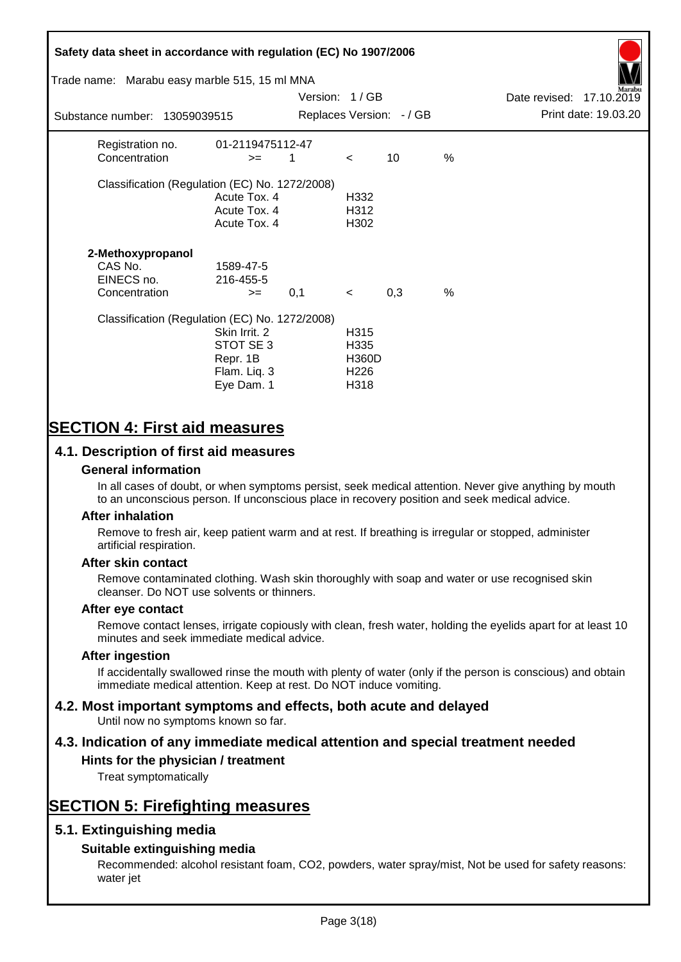# **Safety data sheet in accordance with regulation (EC) No 1907/2006** Substance number: 13059039515 Version: 1 / GB Replaces Version:  $-$  / GB Print date: 19.03.20 Date revised: 17.10.2019 Trade name: Marabu easy marble 515, 15 ml MNA Registration no. 01-2119475112-47  $\text{Concentration}$   $\geq$  1 < 10 % Classification (Regulation (EC) No. 1272/2008) Acute Tox. 4 H332 Acute Tox. 4 H312 Acute Tox. 4 H302 **2-Methoxypropanol** CAS No. 1589-47-5 EINECS no. 216-455-5  $\text{Concentration}$   $\rightarrow$  0.1 < 0.3 % Classification (Regulation (EC) No. 1272/2008) Skin Irrit. 2 H315 STOT SE 3 H335 Repr. 1B H360D Flam. Liq. 3 H226 Eye Dam. 1 H318

# **SECTION 4: First aid measures**

# **4.1. Description of first aid measures**

# **General information**

In all cases of doubt, or when symptoms persist, seek medical attention. Never give anything by mouth to an unconscious person. If unconscious place in recovery position and seek medical advice.

## **After inhalation**

Remove to fresh air, keep patient warm and at rest. If breathing is irregular or stopped, administer artificial respiration.

## **After skin contact**

Remove contaminated clothing. Wash skin thoroughly with soap and water or use recognised skin cleanser. Do NOT use solvents or thinners.

## **After eye contact**

Remove contact lenses, irrigate copiously with clean, fresh water, holding the eyelids apart for at least 10 minutes and seek immediate medical advice.

#### **After ingestion**

If accidentally swallowed rinse the mouth with plenty of water (only if the person is conscious) and obtain immediate medical attention. Keep at rest. Do NOT induce vomiting.

# **4.2. Most important symptoms and effects, both acute and delayed**

Until now no symptoms known so far.

# **4.3. Indication of any immediate medical attention and special treatment needed**

# **Hints for the physician / treatment**

Treat symptomatically

# **SECTION 5: Firefighting measures**

# **5.1. Extinguishing media**

# **Suitable extinguishing media**

Recommended: alcohol resistant foam, CO2, powders, water spray/mist, Not be used for safety reasons: water jet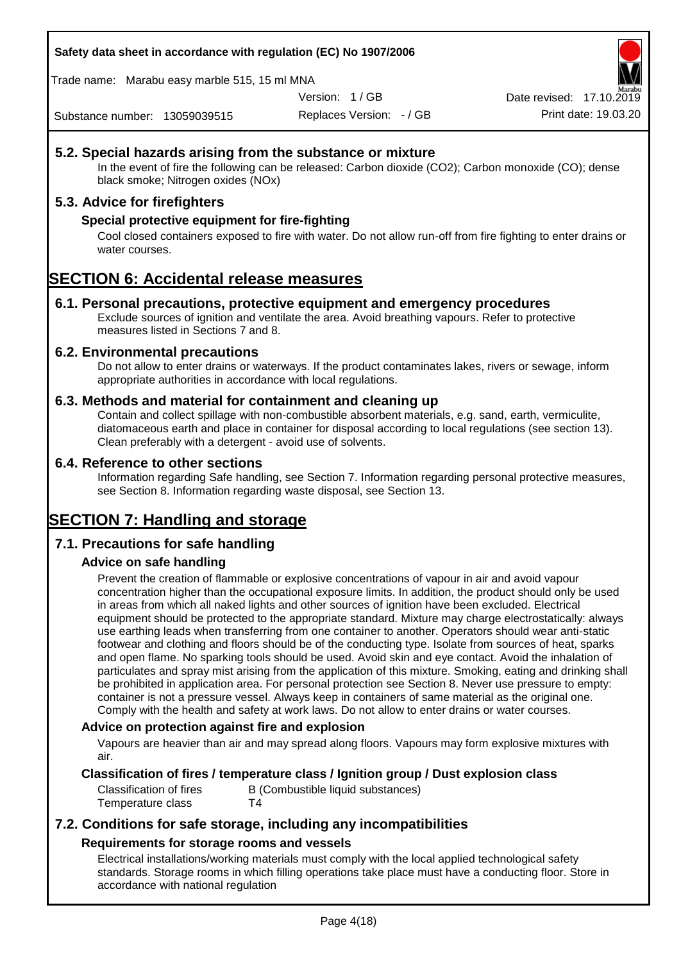## **Safety data sheet in accordance with regulation (EC) No 1907/2006**

Trade name: Marabu easy marble 515, 15 ml MNA

Version: 1 / GB

Replaces Version: - / GB Print date: 19.03.20 Date revised: 17.10.2

Substance number: 13059039515

# **5.2. Special hazards arising from the substance or mixture**

In the event of fire the following can be released: Carbon dioxide (CO2); Carbon monoxide (CO); dense black smoke; Nitrogen oxides (NOx)

# **5.3. Advice for firefighters**

## **Special protective equipment for fire-fighting**

Cool closed containers exposed to fire with water. Do not allow run-off from fire fighting to enter drains or water courses.

# **SECTION 6: Accidental release measures**

## **6.1. Personal precautions, protective equipment and emergency procedures**

Exclude sources of ignition and ventilate the area. Avoid breathing vapours. Refer to protective measures listed in Sections 7 and 8.

#### **6.2. Environmental precautions**

Do not allow to enter drains or waterways. If the product contaminates lakes, rivers or sewage, inform appropriate authorities in accordance with local regulations.

#### **6.3. Methods and material for containment and cleaning up**

Contain and collect spillage with non-combustible absorbent materials, e.g. sand, earth, vermiculite, diatomaceous earth and place in container for disposal according to local regulations (see section 13). Clean preferably with a detergent - avoid use of solvents.

#### **6.4. Reference to other sections**

Information regarding Safe handling, see Section 7. Information regarding personal protective measures, see Section 8. Information regarding waste disposal, see Section 13.

# **SECTION 7: Handling and storage**

## **7.1. Precautions for safe handling**

## **Advice on safe handling**

Prevent the creation of flammable or explosive concentrations of vapour in air and avoid vapour concentration higher than the occupational exposure limits. In addition, the product should only be used in areas from which all naked lights and other sources of ignition have been excluded. Electrical equipment should be protected to the appropriate standard. Mixture may charge electrostatically: always use earthing leads when transferring from one container to another. Operators should wear anti-static footwear and clothing and floors should be of the conducting type. Isolate from sources of heat, sparks and open flame. No sparking tools should be used. Avoid skin and eye contact. Avoid the inhalation of particulates and spray mist arising from the application of this mixture. Smoking, eating and drinking shall be prohibited in application area. For personal protection see Section 8. Never use pressure to empty: container is not a pressure vessel. Always keep in containers of same material as the original one. Comply with the health and safety at work laws. Do not allow to enter drains or water courses.

## **Advice on protection against fire and explosion**

Vapours are heavier than air and may spread along floors. Vapours may form explosive mixtures with air.

# **Classification of fires / temperature class / Ignition group / Dust explosion class**

Classification of fires B (Combustible liquid substances) Temperature class T4

# **7.2. Conditions for safe storage, including any incompatibilities Requirements for storage rooms and vessels**

Electrical installations/working materials must comply with the local applied technological safety standards. Storage rooms in which filling operations take place must have a conducting floor. Store in accordance with national regulation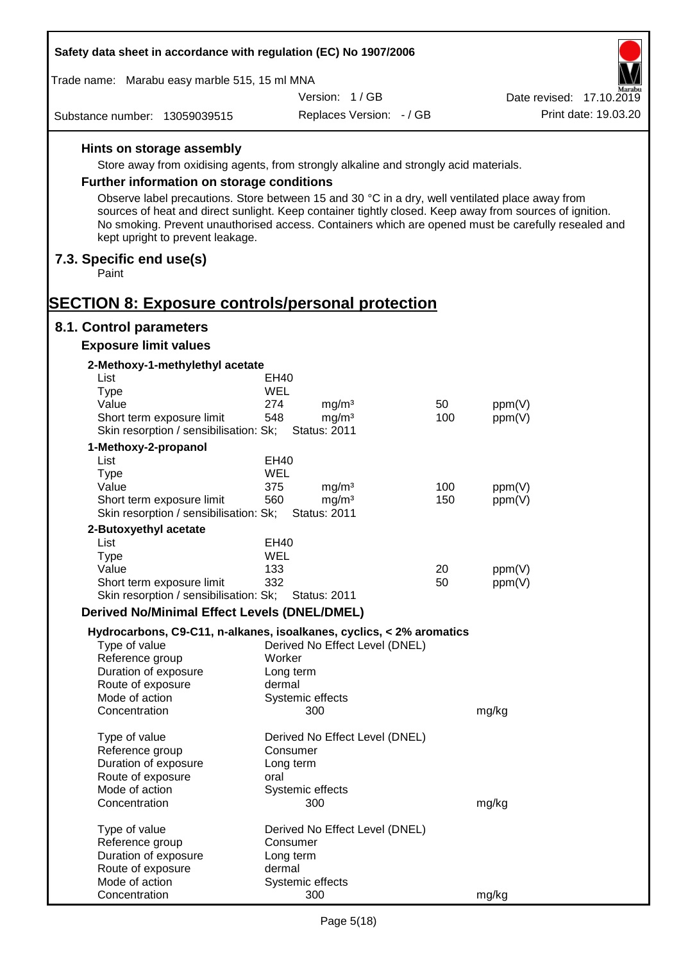| Safety data sheet in accordance with regulation (EC) No 1907/2006                                                                                                                                                                                  |                            |                                        |            |                  |                          |
|----------------------------------------------------------------------------------------------------------------------------------------------------------------------------------------------------------------------------------------------------|----------------------------|----------------------------------------|------------|------------------|--------------------------|
| Trade name: Marabu easy marble 515, 15 ml MNA                                                                                                                                                                                                      |                            |                                        |            |                  |                          |
|                                                                                                                                                                                                                                                    |                            | Version: 1/GB                          |            |                  | Date revised: 17.10.2019 |
| Substance number: 13059039515                                                                                                                                                                                                                      |                            | Replaces Version: - / GB               |            |                  | Print date: 19.03.20     |
| Hints on storage assembly                                                                                                                                                                                                                          |                            |                                        |            |                  |                          |
| Store away from oxidising agents, from strongly alkaline and strongly acid materials.                                                                                                                                                              |                            |                                        |            |                  |                          |
| Further information on storage conditions                                                                                                                                                                                                          |                            |                                        |            |                  |                          |
| Observe label precautions. Store between 15 and 30 °C in a dry, well ventilated place away from                                                                                                                                                    |                            |                                        |            |                  |                          |
| sources of heat and direct sunlight. Keep container tightly closed. Keep away from sources of ignition.<br>No smoking. Prevent unauthorised access. Containers which are opened must be carefully resealed and<br>kept upright to prevent leakage. |                            |                                        |            |                  |                          |
| 7.3. Specific end use(s)<br>Paint                                                                                                                                                                                                                  |                            |                                        |            |                  |                          |
| <b>SECTION 8: Exposure controls/personal protection</b>                                                                                                                                                                                            |                            |                                        |            |                  |                          |
| 8.1. Control parameters                                                                                                                                                                                                                            |                            |                                        |            |                  |                          |
| <b>Exposure limit values</b>                                                                                                                                                                                                                       |                            |                                        |            |                  |                          |
| 2-Methoxy-1-methylethyl acetate<br>List                                                                                                                                                                                                            | EH40                       |                                        |            |                  |                          |
| <b>Type</b>                                                                                                                                                                                                                                        | WEL                        |                                        |            |                  |                          |
| Value                                                                                                                                                                                                                                              | 274                        | mg/m <sup>3</sup>                      | 50         | ppm(V)           |                          |
| Short term exposure limit                                                                                                                                                                                                                          | 548                        | mg/m <sup>3</sup>                      | 100        | ppm(V)           |                          |
| Skin resorption / sensibilisation: Sk;                                                                                                                                                                                                             |                            | <b>Status: 2011</b>                    |            |                  |                          |
| 1-Methoxy-2-propanol                                                                                                                                                                                                                               |                            |                                        |            |                  |                          |
| List                                                                                                                                                                                                                                               | EH40                       |                                        |            |                  |                          |
| <b>Type</b>                                                                                                                                                                                                                                        | WEL                        |                                        |            |                  |                          |
| Value<br>Short term exposure limit                                                                                                                                                                                                                 | 375<br>560                 | mg/m <sup>3</sup><br>mg/m <sup>3</sup> | 100<br>150 | ppm(V)<br>ppm(V) |                          |
| Skin resorption / sensibilisation: Sk;                                                                                                                                                                                                             |                            | <b>Status: 2011</b>                    |            |                  |                          |
| 2-Butoxyethyl acetate                                                                                                                                                                                                                              |                            |                                        |            |                  |                          |
| List                                                                                                                                                                                                                                               | EH40                       |                                        |            |                  |                          |
| Type                                                                                                                                                                                                                                               | WEL                        |                                        |            |                  |                          |
| Value                                                                                                                                                                                                                                              | 133                        |                                        | 20         | ppm(V)           |                          |
| Short term exposure limit                                                                                                                                                                                                                          | 332                        |                                        | 50         | ppm(V)           |                          |
| Skin resorption / sensibilisation: Sk;                                                                                                                                                                                                             |                            | <b>Status: 2011</b>                    |            |                  |                          |
| <b>Derived No/Minimal Effect Levels (DNEL/DMEL)</b>                                                                                                                                                                                                |                            |                                        |            |                  |                          |
| Hydrocarbons, C9-C11, n-alkanes, isoalkanes, cyclics, < 2% aromatics<br>Type of value                                                                                                                                                              |                            | Derived No Effect Level (DNEL)         |            |                  |                          |
| Reference group                                                                                                                                                                                                                                    | Worker                     |                                        |            |                  |                          |
| Duration of exposure                                                                                                                                                                                                                               | Long term                  |                                        |            |                  |                          |
| Route of exposure                                                                                                                                                                                                                                  | dermal                     |                                        |            |                  |                          |
| Mode of action<br>Concentration                                                                                                                                                                                                                    | Systemic effects           | 300                                    |            | mg/kg            |                          |
| Type of value                                                                                                                                                                                                                                      |                            | Derived No Effect Level (DNEL)         |            |                  |                          |
| Reference group                                                                                                                                                                                                                                    | Consumer                   |                                        |            |                  |                          |
| Duration of exposure                                                                                                                                                                                                                               | Long term                  |                                        |            |                  |                          |
| Route of exposure<br>Mode of action                                                                                                                                                                                                                | oral<br>Systemic effects   |                                        |            |                  |                          |
| Concentration                                                                                                                                                                                                                                      |                            | 300                                    |            | mg/kg            |                          |
| Type of value                                                                                                                                                                                                                                      |                            | Derived No Effect Level (DNEL)         |            |                  |                          |
| Reference group                                                                                                                                                                                                                                    | Consumer                   |                                        |            |                  |                          |
| Duration of exposure                                                                                                                                                                                                                               | Long term                  |                                        |            |                  |                          |
| Route of exposure<br>Mode of action                                                                                                                                                                                                                | dermal<br>Systemic effects |                                        |            |                  |                          |
| Concentration                                                                                                                                                                                                                                      |                            | 300                                    |            | mg/kg            |                          |

Г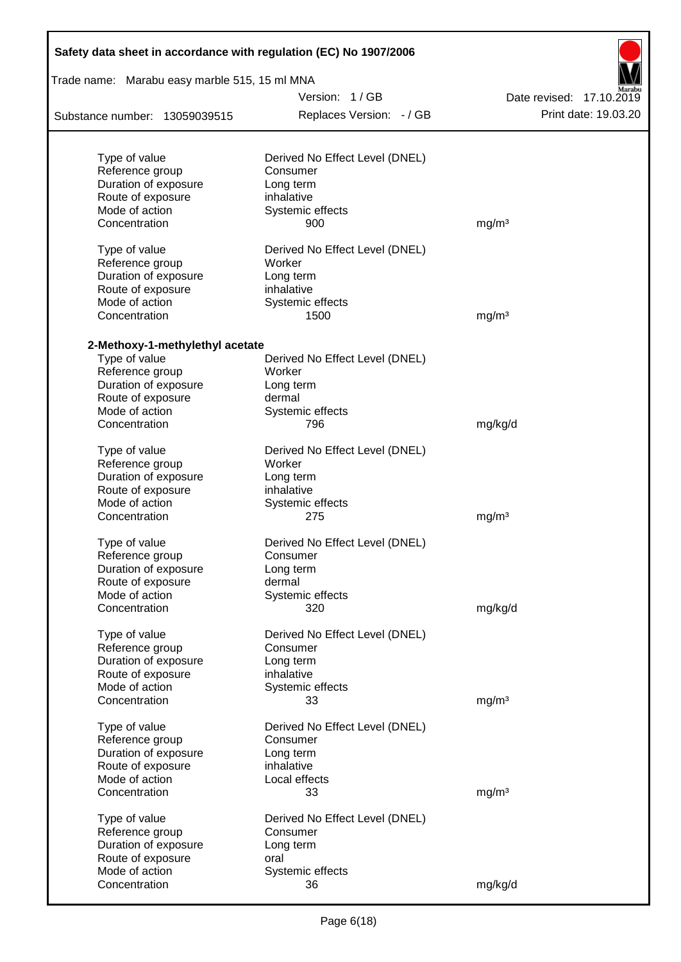| Safety data sheet in accordance with regulation (EC) No 1907/2006 |                                          |                          |
|-------------------------------------------------------------------|------------------------------------------|--------------------------|
| Trade name: Marabu easy marble 515, 15 ml MNA                     |                                          |                          |
|                                                                   | Version: 1/GB                            | Date revised: 17.10.2019 |
| Substance number: 13059039515                                     | Replaces Version: - / GB                 | Print date: 19.03.20     |
| Type of value                                                     | Derived No Effect Level (DNEL)           |                          |
| Reference group                                                   | Consumer                                 |                          |
| Duration of exposure                                              | Long term                                |                          |
| Route of exposure                                                 | inhalative                               |                          |
| Mode of action                                                    | Systemic effects                         |                          |
| Concentration                                                     | 900                                      | mg/m <sup>3</sup>        |
| Type of value<br>Reference group                                  | Derived No Effect Level (DNEL)<br>Worker |                          |
| Duration of exposure                                              | Long term                                |                          |
| Route of exposure                                                 | inhalative                               |                          |
| Mode of action                                                    | Systemic effects                         |                          |
| Concentration                                                     | 1500                                     | mg/m <sup>3</sup>        |
|                                                                   |                                          |                          |
| 2-Methoxy-1-methylethyl acetate<br>Type of value                  | Derived No Effect Level (DNEL)           |                          |
| Reference group                                                   | Worker                                   |                          |
| Duration of exposure                                              | Long term                                |                          |
| Route of exposure                                                 | dermal                                   |                          |
| Mode of action                                                    | Systemic effects                         |                          |
| Concentration                                                     | 796                                      | mg/kg/d                  |
| Type of value                                                     | Derived No Effect Level (DNEL)           |                          |
| Reference group                                                   | Worker                                   |                          |
| Duration of exposure                                              | Long term                                |                          |
| Route of exposure                                                 | inhalative                               |                          |
| Mode of action                                                    | Systemic effects                         |                          |
| Concentration                                                     | 275                                      | mg/m <sup>3</sup>        |
| Type of value                                                     | Derived No Effect Level (DNEL)           |                          |
| Reference group                                                   | Consumer                                 |                          |
| Duration of exposure                                              | Long term                                |                          |
| Route of exposure                                                 | dermal                                   |                          |
| Mode of action                                                    | Systemic effects                         |                          |
| Concentration                                                     | 320                                      | mg/kg/d                  |
| Type of value                                                     | Derived No Effect Level (DNEL)           |                          |
| Reference group                                                   | Consumer                                 |                          |
| Duration of exposure                                              | Long term                                |                          |
| Route of exposure                                                 | inhalative                               |                          |
| Mode of action                                                    | Systemic effects                         |                          |
| Concentration                                                     | 33                                       | mg/m <sup>3</sup>        |
| Type of value                                                     | Derived No Effect Level (DNEL)           |                          |
| Reference group                                                   | Consumer                                 |                          |
| Duration of exposure                                              | Long term                                |                          |
| Route of exposure                                                 | inhalative                               |                          |
| Mode of action                                                    | Local effects                            |                          |
| Concentration                                                     | 33                                       | mg/m <sup>3</sup>        |
| Type of value                                                     | Derived No Effect Level (DNEL)           |                          |
| Reference group                                                   | Consumer                                 |                          |
| Duration of exposure                                              | Long term                                |                          |
| Route of exposure                                                 | oral                                     |                          |
| Mode of action                                                    | Systemic effects                         |                          |
| Concentration                                                     | 36                                       | mg/kg/d                  |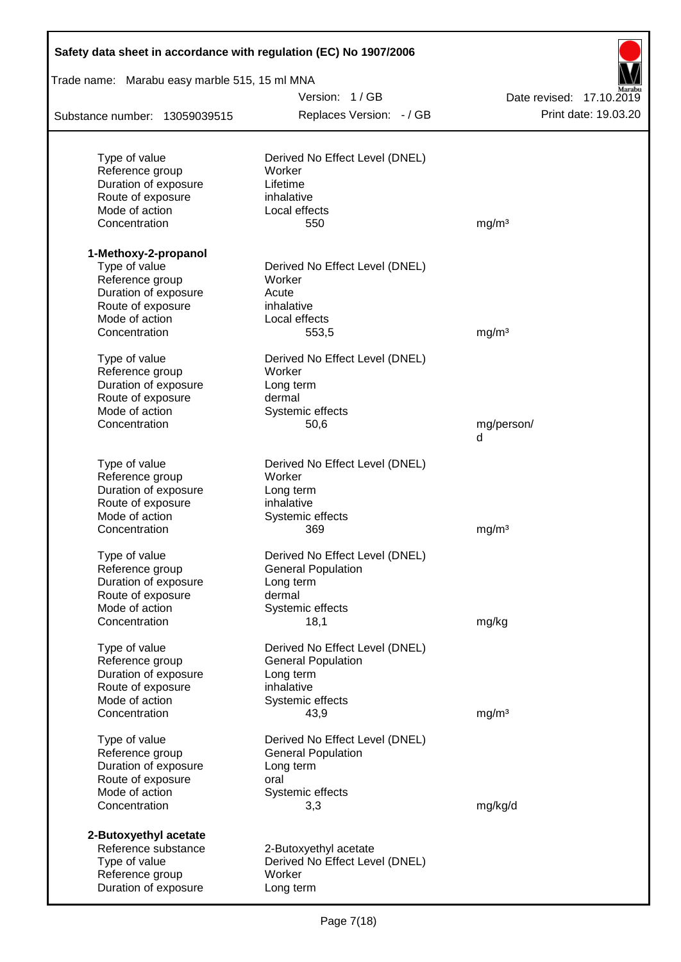| Safety data sheet in accordance with regulation (EC) No 1907/2006 |                                          |                          |
|-------------------------------------------------------------------|------------------------------------------|--------------------------|
| Trade name: Marabu easy marble 515, 15 ml MNA                     |                                          |                          |
|                                                                   | Version: 1/GB                            | Date revised: 17.10.2019 |
| Substance number: 13059039515                                     | Replaces Version: - / GB                 | Print date: 19.03.20     |
|                                                                   |                                          |                          |
| Type of value<br>Reference group                                  | Derived No Effect Level (DNEL)<br>Worker |                          |
| Duration of exposure                                              | Lifetime                                 |                          |
| Route of exposure                                                 | inhalative                               |                          |
| Mode of action                                                    | Local effects                            |                          |
| Concentration                                                     | 550                                      | mg/m <sup>3</sup>        |
| 1-Methoxy-2-propanol                                              |                                          |                          |
| Type of value                                                     | Derived No Effect Level (DNEL)           |                          |
| Reference group                                                   | Worker                                   |                          |
| Duration of exposure                                              | Acute                                    |                          |
| Route of exposure                                                 | inhalative                               |                          |
| Mode of action                                                    | Local effects                            |                          |
| Concentration                                                     | 553,5                                    | mg/m <sup>3</sup>        |
| Type of value                                                     | Derived No Effect Level (DNEL)           |                          |
| Reference group                                                   | Worker                                   |                          |
| Duration of exposure                                              | Long term                                |                          |
| Route of exposure                                                 | dermal                                   |                          |
| Mode of action                                                    | Systemic effects                         |                          |
| Concentration                                                     | 50,6                                     | mg/person/<br>d          |
|                                                                   |                                          |                          |
| Type of value                                                     | Derived No Effect Level (DNEL)           |                          |
| Reference group                                                   | Worker                                   |                          |
| Duration of exposure                                              | Long term                                |                          |
| Route of exposure                                                 | inhalative                               |                          |
| Mode of action                                                    | Systemic effects                         |                          |
| Concentration                                                     | 369                                      | mg/m <sup>3</sup>        |
| Type of value                                                     | Derived No Effect Level (DNEL)           |                          |
| Reference group                                                   | <b>General Population</b>                |                          |
| Duration of exposure                                              | Long term                                |                          |
| Route of exposure                                                 | dermal                                   |                          |
| Mode of action                                                    | Systemic effects                         |                          |
| Concentration                                                     | 18,1                                     | mg/kg                    |
| Type of value                                                     | Derived No Effect Level (DNEL)           |                          |
| Reference group                                                   | <b>General Population</b>                |                          |
| Duration of exposure                                              | Long term                                |                          |
| Route of exposure                                                 | inhalative                               |                          |
| Mode of action                                                    | Systemic effects                         |                          |
| Concentration                                                     | 43,9                                     | mg/m <sup>3</sup>        |
| Type of value                                                     | Derived No Effect Level (DNEL)           |                          |
| Reference group                                                   | <b>General Population</b>                |                          |
| Duration of exposure                                              | Long term                                |                          |
| Route of exposure                                                 | oral                                     |                          |
| Mode of action                                                    | Systemic effects                         |                          |
| Concentration                                                     | 3,3                                      | mg/kg/d                  |
| 2-Butoxyethyl acetate                                             |                                          |                          |
| Reference substance                                               | 2-Butoxyethyl acetate                    |                          |
| Type of value                                                     | Derived No Effect Level (DNEL)           |                          |
| Reference group                                                   | Worker                                   |                          |
| Duration of exposure                                              | Long term                                |                          |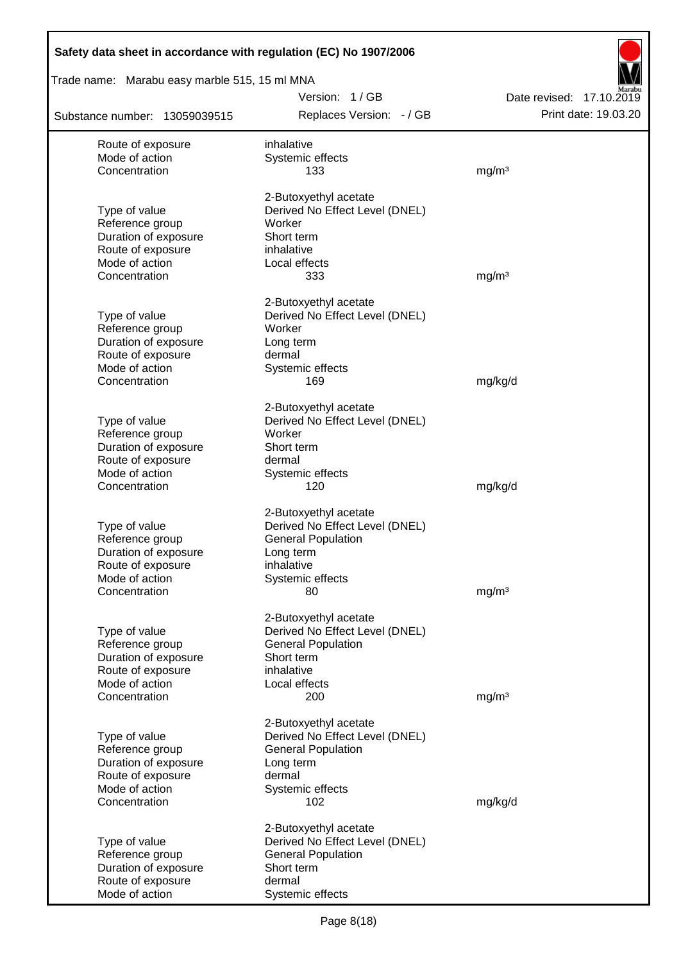| Safety data sheet in accordance with regulation (EC) No 1907/2006 |                                                         |                                                  |
|-------------------------------------------------------------------|---------------------------------------------------------|--------------------------------------------------|
| Trade name: Marabu easy marble 515, 15 ml MNA                     |                                                         |                                                  |
| Substance number: 13059039515                                     | Version: 1/GB<br>Replaces Version: - / GB               | Date revised: 17.10.2019<br>Print date: 19.03.20 |
| Route of exposure                                                 | inhalative                                              |                                                  |
| Mode of action                                                    | Systemic effects                                        |                                                  |
| Concentration                                                     | 133                                                     | mg/m <sup>3</sup>                                |
|                                                                   | 2-Butoxyethyl acetate                                   |                                                  |
| Type of value                                                     | Derived No Effect Level (DNEL)                          |                                                  |
| Reference group                                                   | Worker                                                  |                                                  |
| Duration of exposure                                              | Short term                                              |                                                  |
| Route of exposure                                                 | inhalative                                              |                                                  |
| Mode of action<br>Concentration                                   | Local effects<br>333                                    | mg/m <sup>3</sup>                                |
|                                                                   |                                                         |                                                  |
|                                                                   | 2-Butoxyethyl acetate                                   |                                                  |
| Type of value                                                     | Derived No Effect Level (DNEL)                          |                                                  |
| Reference group                                                   | Worker                                                  |                                                  |
| Duration of exposure<br>Route of exposure                         | Long term<br>dermal                                     |                                                  |
| Mode of action                                                    | Systemic effects                                        |                                                  |
| Concentration                                                     | 169                                                     | mg/kg/d                                          |
|                                                                   |                                                         |                                                  |
|                                                                   | 2-Butoxyethyl acetate                                   |                                                  |
| Type of value<br>Reference group                                  | Derived No Effect Level (DNEL)<br>Worker                |                                                  |
| Duration of exposure                                              | Short term                                              |                                                  |
| Route of exposure                                                 | dermal                                                  |                                                  |
| Mode of action                                                    | Systemic effects                                        |                                                  |
| Concentration                                                     | 120                                                     | mg/kg/d                                          |
|                                                                   | 2-Butoxyethyl acetate                                   |                                                  |
| Type of value                                                     | Derived No Effect Level (DNEL)                          |                                                  |
| Reference group                                                   | <b>General Population</b>                               |                                                  |
| Duration of exposure                                              | Long term                                               |                                                  |
| Route of exposure                                                 | inhalative                                              |                                                  |
| Mode of action                                                    | Systemic effects                                        |                                                  |
| Concentration                                                     | 80                                                      | mg/m <sup>3</sup>                                |
|                                                                   | 2-Butoxyethyl acetate                                   |                                                  |
| Type of value                                                     | Derived No Effect Level (DNEL)                          |                                                  |
| Reference group                                                   | <b>General Population</b>                               |                                                  |
| Duration of exposure                                              | Short term                                              |                                                  |
| Route of exposure                                                 | inhalative                                              |                                                  |
| Mode of action<br>Concentration                                   | Local effects<br>200                                    | mg/m <sup>3</sup>                                |
|                                                                   |                                                         |                                                  |
|                                                                   | 2-Butoxyethyl acetate                                   |                                                  |
| Type of value                                                     | Derived No Effect Level (DNEL)                          |                                                  |
| Reference group<br>Duration of exposure                           | <b>General Population</b><br>Long term                  |                                                  |
| Route of exposure                                                 | dermal                                                  |                                                  |
| Mode of action                                                    | Systemic effects                                        |                                                  |
| Concentration                                                     | 102                                                     | mg/kg/d                                          |
|                                                                   |                                                         |                                                  |
| Type of value                                                     | 2-Butoxyethyl acetate<br>Derived No Effect Level (DNEL) |                                                  |
| Reference group                                                   | <b>General Population</b>                               |                                                  |
| Duration of exposure                                              | Short term                                              |                                                  |
| Route of exposure                                                 | dermal                                                  |                                                  |
| Mode of action                                                    | Systemic effects                                        |                                                  |

Ī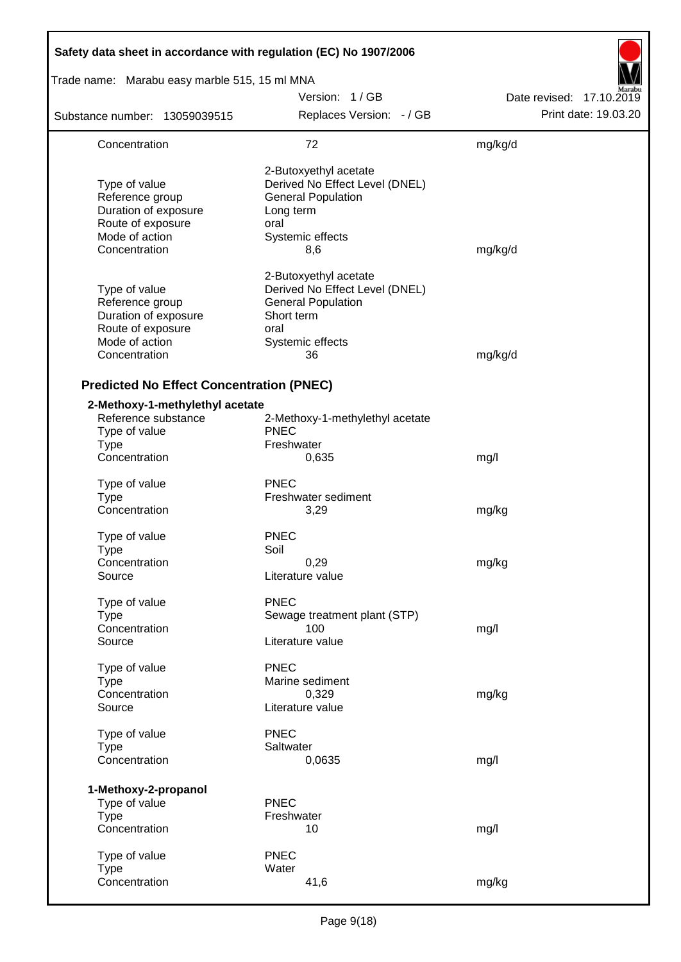| Safety data sheet in accordance with regulation (EC) No 1907/2006                                                |                                                                                                                                      |                          |
|------------------------------------------------------------------------------------------------------------------|--------------------------------------------------------------------------------------------------------------------------------------|--------------------------|
| Trade name: Marabu easy marble 515, 15 ml MNA                                                                    |                                                                                                                                      |                          |
|                                                                                                                  | Version: 1/GB                                                                                                                        | Date revised: 17.10.2019 |
| Substance number: 13059039515                                                                                    | Replaces Version: - / GB                                                                                                             | Print date: 19.03.20     |
| Concentration                                                                                                    | 72                                                                                                                                   | mg/kg/d                  |
| Type of value<br>Reference group<br>Duration of exposure<br>Route of exposure<br>Mode of action<br>Concentration | 2-Butoxyethyl acetate<br>Derived No Effect Level (DNEL)<br><b>General Population</b><br>Long term<br>oral<br>Systemic effects<br>8,6 | mg/kg/d                  |
| Type of value<br>Reference group<br>Duration of exposure<br>Route of exposure<br>Mode of action<br>Concentration | 2-Butoxyethyl acetate<br>Derived No Effect Level (DNEL)<br><b>General Population</b><br>Short term<br>oral<br>Systemic effects<br>36 | mg/kg/d                  |
| <b>Predicted No Effect Concentration (PNEC)</b>                                                                  |                                                                                                                                      |                          |
| 2-Methoxy-1-methylethyl acetate<br>Reference substance<br>Type of value<br><b>Type</b><br>Concentration          | 2-Methoxy-1-methylethyl acetate<br><b>PNEC</b><br>Freshwater<br>0,635                                                                | mg/l                     |
| Type of value<br><b>Type</b><br>Concentration                                                                    | <b>PNEC</b><br>Freshwater sediment<br>3,29                                                                                           | mg/kg                    |
| Type of value<br>Type<br>Concentration<br>Source                                                                 | <b>PNEC</b><br>Soil<br>0,29<br>Literature value                                                                                      | mg/kg                    |
| Type of value<br><b>Type</b><br>Concentration<br>Source                                                          | <b>PNEC</b><br>Sewage treatment plant (STP)<br>100<br>Literature value                                                               | mg/l                     |
| Type of value<br><b>Type</b><br>Concentration<br>Source                                                          | <b>PNEC</b><br>Marine sediment<br>0,329<br>Literature value                                                                          | mg/kg                    |
| Type of value<br><b>Type</b><br>Concentration                                                                    | <b>PNEC</b><br>Saltwater<br>0,0635                                                                                                   | mg/l                     |
| 1-Methoxy-2-propanol<br>Type of value<br><b>Type</b><br>Concentration                                            | <b>PNEC</b><br>Freshwater<br>10                                                                                                      | mg/l                     |
| Type of value<br><b>Type</b><br>Concentration                                                                    | <b>PNEC</b><br>Water<br>41,6                                                                                                         | mg/kg                    |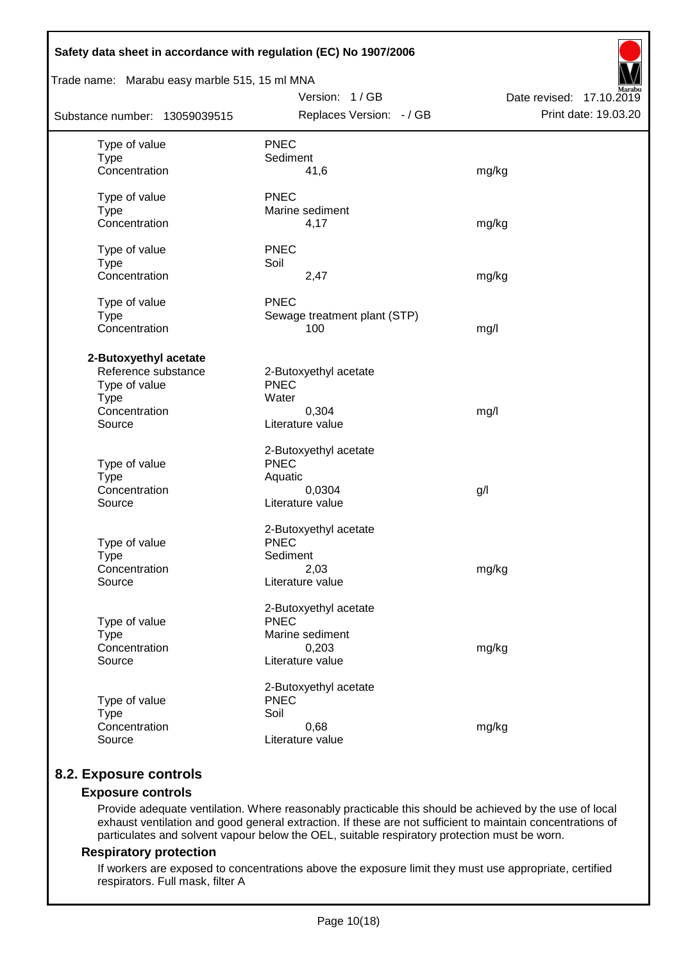| Safety data sheet in accordance with regulation (EC) No 1907/2006                                       |                                                                                      |                          |
|---------------------------------------------------------------------------------------------------------|--------------------------------------------------------------------------------------|--------------------------|
| Trade name: Marabu easy marble 515, 15 ml MNA                                                           | Version: 1 / GB                                                                      | Date revised: 17.10.2019 |
| Substance number: 13059039515                                                                           | Replaces Version: - / GB                                                             | Print date: 19.03.20     |
| Type of value<br><b>Type</b><br>Concentration                                                           | <b>PNEC</b><br>Sediment<br>41,6                                                      | mg/kg                    |
| Type of value<br><b>Type</b><br>Concentration                                                           | <b>PNEC</b><br>Marine sediment<br>4,17                                               | mg/kg                    |
| Type of value<br><b>Type</b><br>Concentration                                                           | <b>PNEC</b><br>Soil<br>2,47                                                          | mg/kg                    |
| Type of value<br><b>Type</b><br>Concentration                                                           | <b>PNEC</b><br>Sewage treatment plant (STP)<br>100                                   | mg/l                     |
| 2-Butoxyethyl acetate<br>Reference substance<br>Type of value<br><b>Type</b><br>Concentration<br>Source | 2-Butoxyethyl acetate<br><b>PNEC</b><br>Water<br>0,304<br>Literature value           | mg/l                     |
| Type of value<br><b>Type</b><br>Concentration<br>Source                                                 | 2-Butoxyethyl acetate<br><b>PNEC</b><br>Aquatic<br>0,0304<br>Literature value        | g/                       |
| Type of value<br><b>Type</b><br>Concentration<br>Source                                                 | 2-Butoxyethyl acetate<br><b>PNEC</b><br>Sediment<br>2,03<br>Literature value         | mg/kg                    |
| Type of value<br><b>Type</b><br>Concentration<br>Source                                                 | 2-Butoxyethyl acetate<br><b>PNEC</b><br>Marine sediment<br>0,203<br>Literature value | mg/kg                    |
| Type of value<br><b>Type</b><br>Concentration<br>Source                                                 | 2-Butoxyethyl acetate<br><b>PNEC</b><br>Soil<br>0,68<br>Literature value             | mg/kg                    |

# **8.2. Exposure controls**

# **Exposure controls**

Provide adequate ventilation. Where reasonably practicable this should be achieved by the use of local exhaust ventilation and good general extraction. If these are not sufficient to maintain concentrations of particulates and solvent vapour below the OEL, suitable respiratory protection must be worn.

# **Respiratory protection**

If workers are exposed to concentrations above the exposure limit they must use appropriate, certified respirators. Full mask, filter A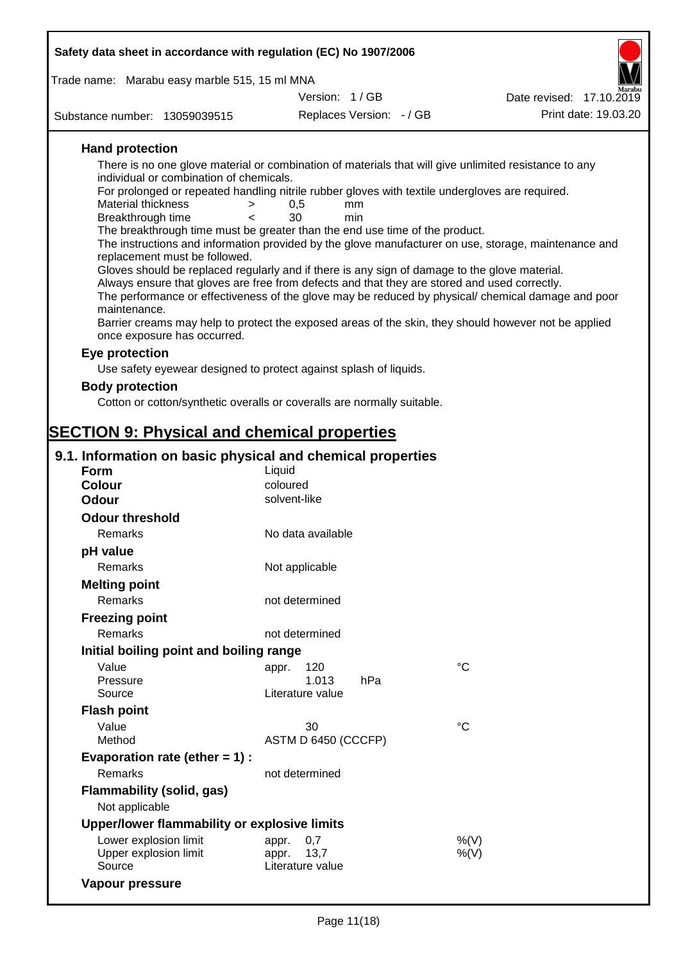| Safety data sheet in accordance with regulation (EC) No 1907/2006 |                                                                                                                                                                                                    |                          |
|-------------------------------------------------------------------|----------------------------------------------------------------------------------------------------------------------------------------------------------------------------------------------------|--------------------------|
| Trade name: Marabu easy marble 515, 15 ml MNA                     |                                                                                                                                                                                                    |                          |
|                                                                   | Version: 1/GB                                                                                                                                                                                      | Date revised: 17.10.2019 |
| Substance number: 13059039515                                     | Replaces Version: - / GB                                                                                                                                                                           | Print date: 19.03.20     |
|                                                                   |                                                                                                                                                                                                    |                          |
| <b>Hand protection</b>                                            | There is no one glove material or combination of materials that will give unlimited resistance to any                                                                                              |                          |
| individual or combination of chemicals.                           |                                                                                                                                                                                                    |                          |
|                                                                   | For prolonged or repeated handling nitrile rubber gloves with textile undergloves are required.                                                                                                    |                          |
| Material thickness<br>>                                           | 0,5<br>mm                                                                                                                                                                                          |                          |
| Breakthrough time<br>$\prec$                                      | 30<br>min<br>The breakthrough time must be greater than the end use time of the product.                                                                                                           |                          |
| replacement must be followed.                                     | The instructions and information provided by the glove manufacturer on use, storage, maintenance and                                                                                               |                          |
|                                                                   | Gloves should be replaced regularly and if there is any sign of damage to the glove material.                                                                                                      |                          |
|                                                                   | Always ensure that gloves are free from defects and that they are stored and used correctly.<br>The performance or effectiveness of the glove may be reduced by physical/ chemical damage and poor |                          |
| maintenance.                                                      |                                                                                                                                                                                                    |                          |
| once exposure has occurred.                                       | Barrier creams may help to protect the exposed areas of the skin, they should however not be applied                                                                                               |                          |
| Eye protection                                                    |                                                                                                                                                                                                    |                          |
|                                                                   | Use safety eyewear designed to protect against splash of liquids.                                                                                                                                  |                          |
| <b>Body protection</b>                                            |                                                                                                                                                                                                    |                          |
|                                                                   | Cotton or cotton/synthetic overalls or coveralls are normally suitable.                                                                                                                            |                          |
|                                                                   |                                                                                                                                                                                                    |                          |
| <b>SECTION 9: Physical and chemical properties</b>                |                                                                                                                                                                                                    |                          |
| 9.1. Information on basic physical and chemical properties        |                                                                                                                                                                                                    |                          |
| <b>Form</b>                                                       | Liquid                                                                                                                                                                                             |                          |
| Colour                                                            | coloured                                                                                                                                                                                           |                          |
| Odour                                                             | solvent-like                                                                                                                                                                                       |                          |
| <b>Odour threshold</b>                                            |                                                                                                                                                                                                    |                          |
| Remarks                                                           | No data available                                                                                                                                                                                  |                          |
| pH value                                                          |                                                                                                                                                                                                    |                          |
| Remarks                                                           | Not applicable                                                                                                                                                                                     |                          |
| <b>Melting point</b>                                              |                                                                                                                                                                                                    |                          |
| Remarks                                                           | not determined                                                                                                                                                                                     |                          |
| <b>Freezing point</b>                                             |                                                                                                                                                                                                    |                          |
| Remarks                                                           | not determined                                                                                                                                                                                     |                          |
| Initial boiling point and boiling range                           |                                                                                                                                                                                                    |                          |
| Value                                                             | 120<br>appr.                                                                                                                                                                                       | $^{\circ}C$              |
| Pressure                                                          | 1.013<br>hPa                                                                                                                                                                                       |                          |
| Source                                                            | Literature value                                                                                                                                                                                   |                          |
| <b>Flash point</b>                                                |                                                                                                                                                                                                    | $^{\circ}C$              |
| Value<br>Method                                                   | 30<br>ASTM D 6450 (CCCFP)                                                                                                                                                                          |                          |
| Evaporation rate (ether $= 1$ ) :                                 |                                                                                                                                                                                                    |                          |
| Remarks                                                           | not determined                                                                                                                                                                                     |                          |
| <b>Flammability (solid, gas)</b>                                  |                                                                                                                                                                                                    |                          |
| Not applicable                                                    |                                                                                                                                                                                                    |                          |
| Upper/lower flammability or explosive limits                      |                                                                                                                                                                                                    |                          |

Lower explosion limit appr. 0,7 metal appression to  $\%(V)$ Upper explosion limit appr. 13,7  $\%(V)$ Explosion limit<br>
Upper explosion limit<br>
Source Literature value **Vapour pressure**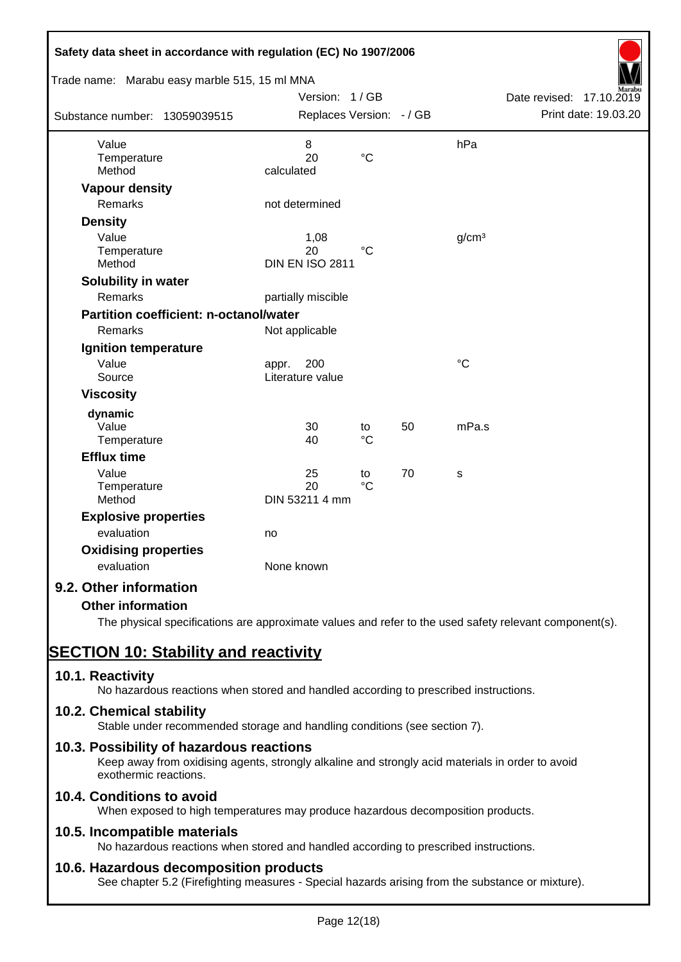| Safety data sheet in accordance with regulation (EC) No 1907/2006 |                          |                 |    |                   |                          |
|-------------------------------------------------------------------|--------------------------|-----------------|----|-------------------|--------------------------|
| Trade name: Marabu easy marble 515, 15 ml MNA                     |                          |                 |    |                   |                          |
|                                                                   | Version: 1/GB            |                 |    |                   | Date revised: 17.10.2019 |
| Substance number: 13059039515                                     | Replaces Version: - / GB |                 |    |                   | Print date: 19.03.20     |
| Value                                                             | $\,8\,$                  |                 |    | hPa               |                          |
| Temperature                                                       | 20                       | $\rm ^{\circ}C$ |    |                   |                          |
| Method                                                            | calculated               |                 |    |                   |                          |
| <b>Vapour density</b>                                             |                          |                 |    |                   |                          |
| <b>Remarks</b>                                                    | not determined           |                 |    |                   |                          |
| <b>Density</b>                                                    |                          |                 |    |                   |                          |
| Value                                                             | 1,08                     |                 |    | g/cm <sup>3</sup> |                          |
| Temperature                                                       | 20                       | $^{\circ}C$     |    |                   |                          |
| Method                                                            | <b>DIN EN ISO 2811</b>   |                 |    |                   |                          |
| Solubility in water                                               |                          |                 |    |                   |                          |
| <b>Remarks</b>                                                    | partially miscible       |                 |    |                   |                          |
| Partition coefficient: n-octanol/water                            |                          |                 |    |                   |                          |
| Remarks                                                           | Not applicable           |                 |    |                   |                          |
| Ignition temperature                                              |                          |                 |    |                   |                          |
| Value                                                             | 200<br>appr.             |                 |    | $\rm ^{\circ}C$   |                          |
| Source                                                            | Literature value         |                 |    |                   |                          |
| <b>Viscosity</b>                                                  |                          |                 |    |                   |                          |
| dynamic                                                           |                          |                 |    |                   |                          |
| Value                                                             | 30                       | to              | 50 | mPa.s             |                          |
| Temperature                                                       | 40                       | $^{\circ}C$     |    |                   |                          |
| <b>Efflux time</b>                                                |                          |                 |    |                   |                          |
| Value                                                             | 25                       | to              | 70 | S                 |                          |
| Temperature                                                       | 20                       | $\rm ^{\circ}C$ |    |                   |                          |
| Method                                                            | DIN 53211 4 mm           |                 |    |                   |                          |
| <b>Explosive properties</b>                                       |                          |                 |    |                   |                          |
| evaluation                                                        | no                       |                 |    |                   |                          |
| <b>Oxidising properties</b>                                       |                          |                 |    |                   |                          |
| evaluation                                                        | None known               |                 |    |                   |                          |
| 9.2. Other information                                            |                          |                 |    |                   |                          |
| <b>Other information</b>                                          |                          |                 |    |                   |                          |

The physical specifications are approximate values and refer to the used safety relevant component(s).

# **SECTION 10: Stability and reactivity**

# **10.1. Reactivity**

No hazardous reactions when stored and handled according to prescribed instructions.

# **10.2. Chemical stability**

Stable under recommended storage and handling conditions (see section 7).

# **10.3. Possibility of hazardous reactions**

Keep away from oxidising agents, strongly alkaline and strongly acid materials in order to avoid exothermic reactions.

# **10.4. Conditions to avoid**

When exposed to high temperatures may produce hazardous decomposition products.

# **10.5. Incompatible materials**

No hazardous reactions when stored and handled according to prescribed instructions.

# **10.6. Hazardous decomposition products**

See chapter 5.2 (Firefighting measures - Special hazards arising from the substance or mixture).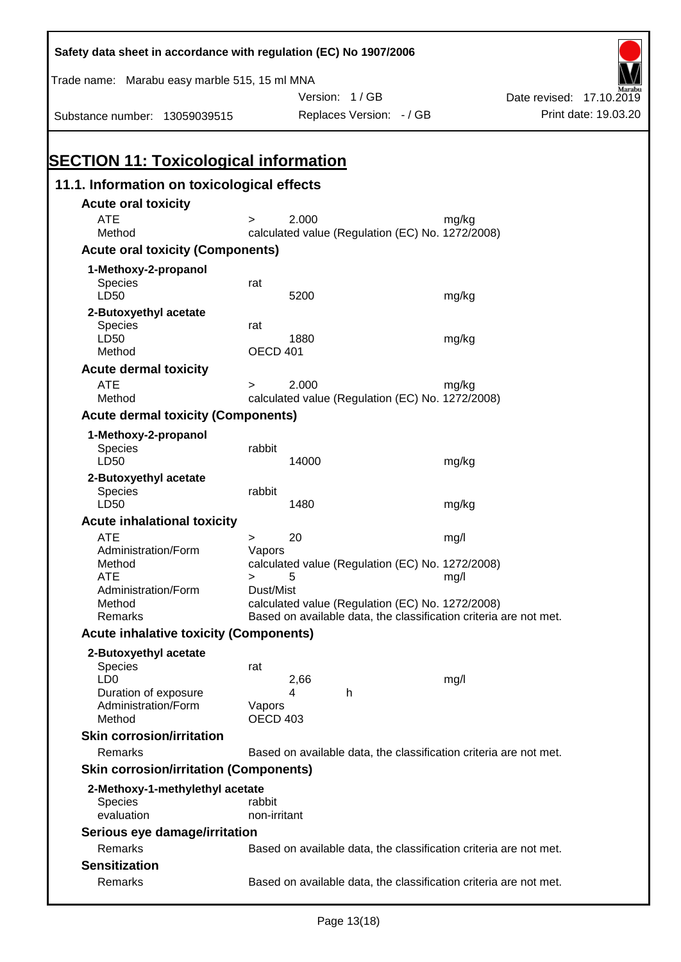| Safety data sheet in accordance with regulation (EC) No 1907/2006                          |                                                                                                                                    |                          |
|--------------------------------------------------------------------------------------------|------------------------------------------------------------------------------------------------------------------------------------|--------------------------|
| Trade name: Marabu easy marble 515, 15 ml MNA                                              |                                                                                                                                    |                          |
|                                                                                            | Version: 1/GB                                                                                                                      | Date revised: 17.10.2019 |
| Substance number: 13059039515                                                              | Replaces Version: - / GB                                                                                                           | Print date: 19.03.20     |
| <b>SECTION 11: Toxicological information</b><br>11.1. Information on toxicological effects |                                                                                                                                    |                          |
| <b>Acute oral toxicity</b>                                                                 |                                                                                                                                    |                          |
| <b>ATE</b>                                                                                 | 2.000<br>mg/kg<br>$\geq$                                                                                                           |                          |
| Method                                                                                     | calculated value (Regulation (EC) No. 1272/2008)                                                                                   |                          |
| <b>Acute oral toxicity (Components)</b>                                                    |                                                                                                                                    |                          |
| 1-Methoxy-2-propanol                                                                       |                                                                                                                                    |                          |
| Species                                                                                    | rat                                                                                                                                |                          |
| LD50                                                                                       | 5200<br>mg/kg                                                                                                                      |                          |
| 2-Butoxyethyl acetate<br>Species<br>LD50                                                   | rat<br>1880<br>mg/kg                                                                                                               |                          |
| Method                                                                                     | OECD 401                                                                                                                           |                          |
| <b>Acute dermal toxicity</b>                                                               |                                                                                                                                    |                          |
| <b>ATE</b><br>Method                                                                       | 2.000<br>mg/kg<br>$\geq$<br>calculated value (Regulation (EC) No. 1272/2008)                                                       |                          |
| <b>Acute dermal toxicity (Components)</b>                                                  |                                                                                                                                    |                          |
| 1-Methoxy-2-propanol<br><b>Species</b><br>LD50                                             | rabbit<br>14000<br>mg/kg                                                                                                           |                          |
| 2-Butoxyethyl acetate<br>Species<br>LD50                                                   | rabbit<br>1480<br>mg/kg                                                                                                            |                          |
| <b>Acute inhalational toxicity</b>                                                         |                                                                                                                                    |                          |
| <b>ATE</b><br>Administration/Form                                                          | 20<br>mg/l<br>><br>Vapors                                                                                                          |                          |
| Method<br><b>ATE</b>                                                                       | calculated value (Regulation (EC) No. 1272/2008)<br>mg/l<br>$\geq$<br>5                                                            |                          |
| Administration/Form<br>Method<br>Remarks                                                   | Dust/Mist<br>calculated value (Regulation (EC) No. 1272/2008)<br>Based on available data, the classification criteria are not met. |                          |
|                                                                                            |                                                                                                                                    |                          |
| <b>Acute inhalative toxicity (Components)</b>                                              |                                                                                                                                    |                          |
| 2-Butoxyethyl acetate<br>Species<br>LD <sub>0</sub>                                        | rat<br>2,66<br>mg/l                                                                                                                |                          |
| Duration of exposure<br>Administration/Form<br>Method                                      | 4<br>h<br>Vapors<br><b>OECD 403</b>                                                                                                |                          |
| <b>Skin corrosion/irritation</b>                                                           |                                                                                                                                    |                          |
| Remarks                                                                                    | Based on available data, the classification criteria are not met.                                                                  |                          |
| <b>Skin corrosion/irritation (Components)</b>                                              |                                                                                                                                    |                          |
| 2-Methoxy-1-methylethyl acetate<br><b>Species</b><br>evaluation                            | rabbit<br>non-irritant                                                                                                             |                          |
| Serious eye damage/irritation                                                              |                                                                                                                                    |                          |
| Remarks                                                                                    | Based on available data, the classification criteria are not met.                                                                  |                          |
| <b>Sensitization</b>                                                                       |                                                                                                                                    |                          |
| Remarks                                                                                    | Based on available data, the classification criteria are not met.                                                                  |                          |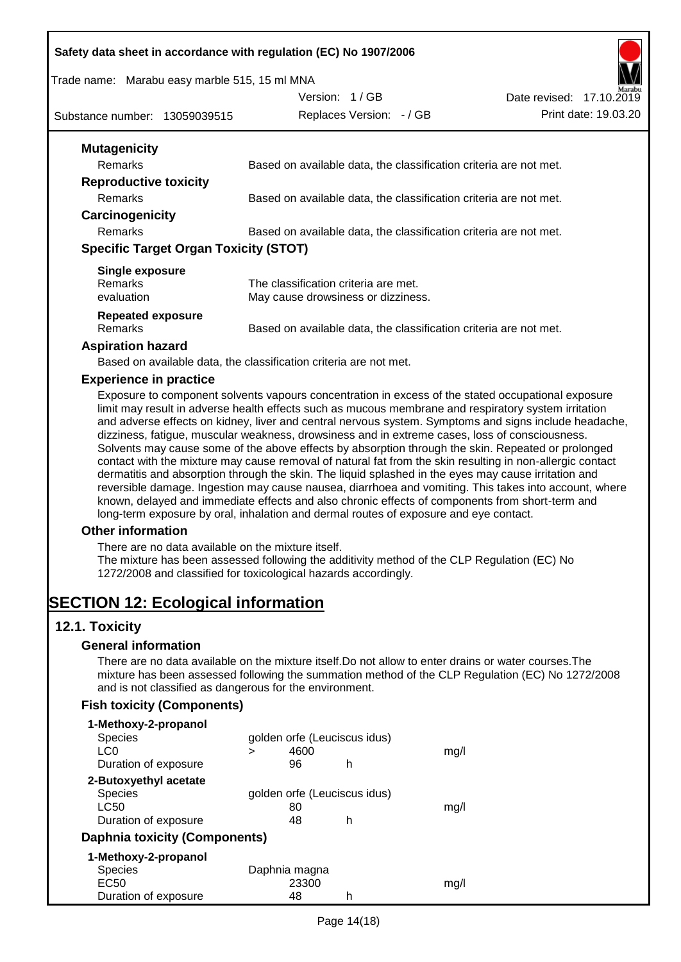#### **Safety data sheet in accordance with regulation (EC) No 1907/2006**

#### Trade name: Marabu easy marble 515, 15 ml MNA

Date revised: 17.10.2019



Substance number: 13059039515

Replaces Version:  $-$  / GB Print date: 19.03.20

Version: 1 / GB

| <b>Mutagenicity</b>                          |                                                                   |
|----------------------------------------------|-------------------------------------------------------------------|
| <b>Remarks</b>                               | Based on available data, the classification criteria are not met. |
| <b>Reproductive toxicity</b>                 |                                                                   |
| <b>Remarks</b>                               | Based on available data, the classification criteria are not met. |
| Carcinogenicity                              |                                                                   |
| <b>Remarks</b>                               | Based on available data, the classification criteria are not met. |
| <b>Specific Target Organ Toxicity (STOT)</b> |                                                                   |
|                                              |                                                                   |
| Single exposure                              |                                                                   |
| <b>Remarks</b>                               | The classification criteria are met.                              |
| evaluation                                   | May cause drowsiness or dizziness.                                |
| <b>Repeated exposure</b>                     |                                                                   |
| <b>Remarks</b>                               | Based on available data, the classification criteria are not met. |

Based on available data, the classification criteria are not met.

#### **Experience in practice**

Exposure to component solvents vapours concentration in excess of the stated occupational exposure limit may result in adverse health effects such as mucous membrane and respiratory system irritation and adverse effects on kidney, liver and central nervous system. Symptoms and signs include headache, dizziness, fatigue, muscular weakness, drowsiness and in extreme cases, loss of consciousness. Solvents may cause some of the above effects by absorption through the skin. Repeated or prolonged contact with the mixture may cause removal of natural fat from the skin resulting in non-allergic contact dermatitis and absorption through the skin. The liquid splashed in the eyes may cause irritation and reversible damage. Ingestion may cause nausea, diarrhoea and vomiting. This takes into account, where known, delayed and immediate effects and also chronic effects of components from short-term and long-term exposure by oral, inhalation and dermal routes of exposure and eye contact.

## **Other information**

There are no data available on the mixture itself.

The mixture has been assessed following the additivity method of the CLP Regulation (EC) No 1272/2008 and classified for toxicological hazards accordingly.

# **SECTION 12: Ecological information**

## **12.1. Toxicity**

#### **General information**

There are no data available on the mixture itself.Do not allow to enter drains or water courses.The mixture has been assessed following the summation method of the CLP Regulation (EC) No 1272/2008 and is not classified as dangerous for the environment.

# **Fish toxicity (Components)**

| 1-Methoxy-2-propanol          |   |               |                              |      |
|-------------------------------|---|---------------|------------------------------|------|
| <b>Species</b>                |   |               | golden orfe (Leuciscus idus) |      |
| LC0                           | > | 4600          |                              | mq/l |
| Duration of exposure          |   | 96            | h                            |      |
| 2-Butoxyethyl acetate         |   |               |                              |      |
| <b>Species</b>                |   |               | golden orfe (Leuciscus idus) |      |
| LC50                          |   | 80            |                              | mq/  |
| Duration of exposure          |   | 48            | h                            |      |
| Daphnia toxicity (Components) |   |               |                              |      |
| 1-Methoxy-2-propanol          |   |               |                              |      |
| <b>Species</b>                |   | Daphnia magna |                              |      |
| EC <sub>50</sub>              |   | 23300         |                              | mg/l |
| Duration of exposure          |   | 48            | h                            |      |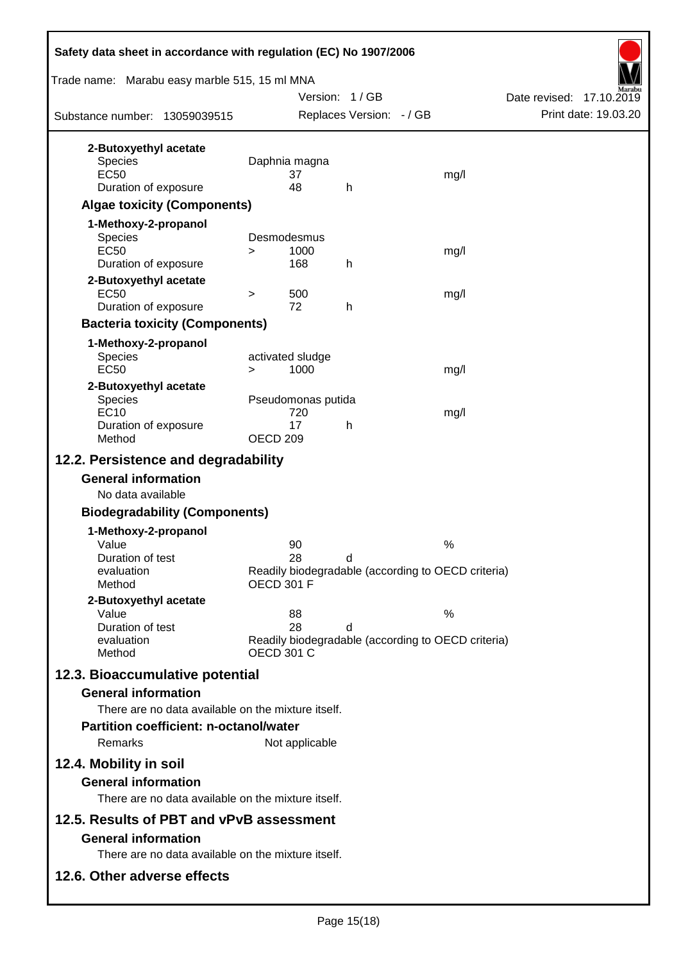| Safety data sheet in accordance with regulation (EC) No 1907/2006                                                            |                     |                                 |                          |  |                                                            |
|------------------------------------------------------------------------------------------------------------------------------|---------------------|---------------------------------|--------------------------|--|------------------------------------------------------------|
| Trade name: Marabu easy marble 515, 15 ml MNA                                                                                |                     |                                 | Version: 1/GB            |  | Date revised: 17.10.2019                                   |
| Substance number: 13059039515                                                                                                |                     |                                 | Replaces Version: - / GB |  | Print date: 19.03.20                                       |
| 2-Butoxyethyl acetate<br><b>Species</b><br><b>EC50</b><br>Duration of exposure<br><b>Algae toxicity (Components)</b>         |                     | Daphnia magna<br>37<br>48       | h                        |  | mg/l                                                       |
| 1-Methoxy-2-propanol<br><b>Species</b><br><b>EC50</b><br>Duration of exposure                                                | $\geq$              | Desmodesmus<br>1000<br>168      | h                        |  | mg/l                                                       |
| 2-Butoxyethyl acetate<br>EC <sub>50</sub><br>Duration of exposure<br><b>Bacteria toxicity (Components)</b>                   | $\, > \,$           | 500<br>72                       | h                        |  | mg/l                                                       |
| 1-Methoxy-2-propanol<br>Species<br><b>EC50</b>                                                                               | $\geq$              | activated sludge<br>1000        |                          |  | mg/l                                                       |
| 2-Butoxyethyl acetate<br><b>Species</b><br><b>EC10</b><br>Duration of exposure<br>Method                                     | OECD <sub>209</sub> | Pseudomonas putida<br>720<br>17 | h                        |  | mg/l                                                       |
| 12.2. Persistence and degradability                                                                                          |                     |                                 |                          |  |                                                            |
| <b>General information</b><br>No data available                                                                              |                     |                                 |                          |  |                                                            |
| <b>Biodegradability (Components)</b>                                                                                         |                     |                                 |                          |  |                                                            |
| 1-Methoxy-2-propanol<br>Value<br>Duration of test<br>evaluation<br>Method                                                    | <b>OECD 301 F</b>   | 90<br>28                        | d                        |  | $\%$<br>Readily biodegradable (according to OECD criteria) |
| 2-Butoxyethyl acetate<br>Value<br>Duration of test<br>evaluation<br>Method                                                   |                     | 88<br>28<br><b>OECD 301 C</b>   | d                        |  | $\%$<br>Readily biodegradable (according to OECD criteria) |
| 12.3. Bioaccumulative potential<br><b>General information</b><br>There are no data available on the mixture itself.          |                     |                                 |                          |  |                                                            |
| <b>Partition coefficient: n-octanol/water</b><br>Remarks                                                                     |                     | Not applicable                  |                          |  |                                                            |
| 12.4. Mobility in soil<br><b>General information</b><br>There are no data available on the mixture itself.                   |                     |                                 |                          |  |                                                            |
| 12.5. Results of PBT and vPvB assessment<br><b>General information</b><br>There are no data available on the mixture itself. |                     |                                 |                          |  |                                                            |
| 12.6. Other adverse effects                                                                                                  |                     |                                 |                          |  |                                                            |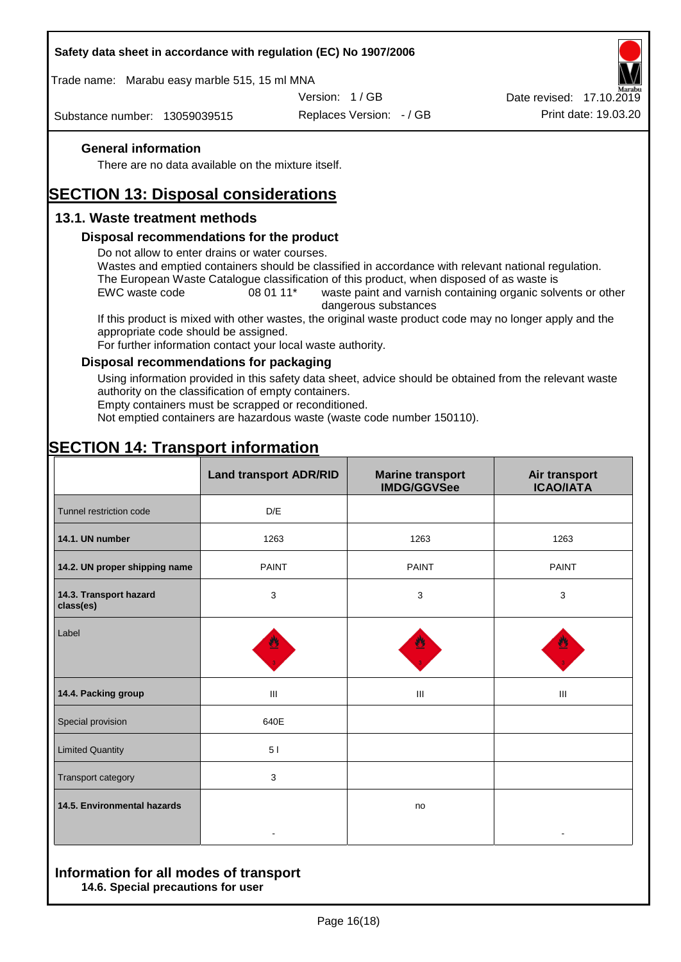## **Safety data sheet in accordance with regulation (EC) No 1907/2006**

Trade name: Marabu easy marble 515, 15 ml MNA

Version: 1 / GB

Substance number: 13059039515

Replaces Version: - / GB Print date: 19.03.20 Date revised: 17.10.2019

# **General information**

There are no data available on the mixture itself.

# **SECTION 13: Disposal considerations**

# **13.1. Waste treatment methods**

#### **Disposal recommendations for the product**

Do not allow to enter drains or water courses.

Wastes and emptied containers should be classified in accordance with relevant national regulation. The European Waste Catalogue classification of this product, when disposed of as waste is

EWC waste code 08 01 11<sup>\*</sup> waste paint and varnish containing organic solvents or other dangerous substances

If this product is mixed with other wastes, the original waste product code may no longer apply and the appropriate code should be assigned.

For further information contact your local waste authority.

#### **Disposal recommendations for packaging**

Using information provided in this safety data sheet, advice should be obtained from the relevant waste authority on the classification of empty containers.

Empty containers must be scrapped or reconditioned.

Not emptied containers are hazardous waste (waste code number 150110).

|                                     | <b>Land transport ADR/RID</b> | <b>Marine transport</b><br><b>IMDG/GGVSee</b> | Air transport<br><b>ICAO/IATA</b> |
|-------------------------------------|-------------------------------|-----------------------------------------------|-----------------------------------|
| Tunnel restriction code             | D/E                           |                                               |                                   |
| 14.1. UN number                     | 1263                          | 1263                                          | 1263                              |
| 14.2. UN proper shipping name       | <b>PAINT</b>                  | <b>PAINT</b>                                  | <b>PAINT</b>                      |
| 14.3. Transport hazard<br>class(es) | 3                             | 3                                             | 3                                 |
| Label                               |                               |                                               |                                   |
| 14.4. Packing group                 | Ш                             | Ш                                             | Ш                                 |
| Special provision                   | 640E                          |                                               |                                   |
| <b>Limited Quantity</b>             | 5 <sub>1</sub>                |                                               |                                   |
| Transport category                  | 3                             |                                               |                                   |
| 14.5. Environmental hazards         |                               | no                                            |                                   |

# **SECTION 14: Transport information**

#### **Information for all modes of transport 14.6. Special precautions for user**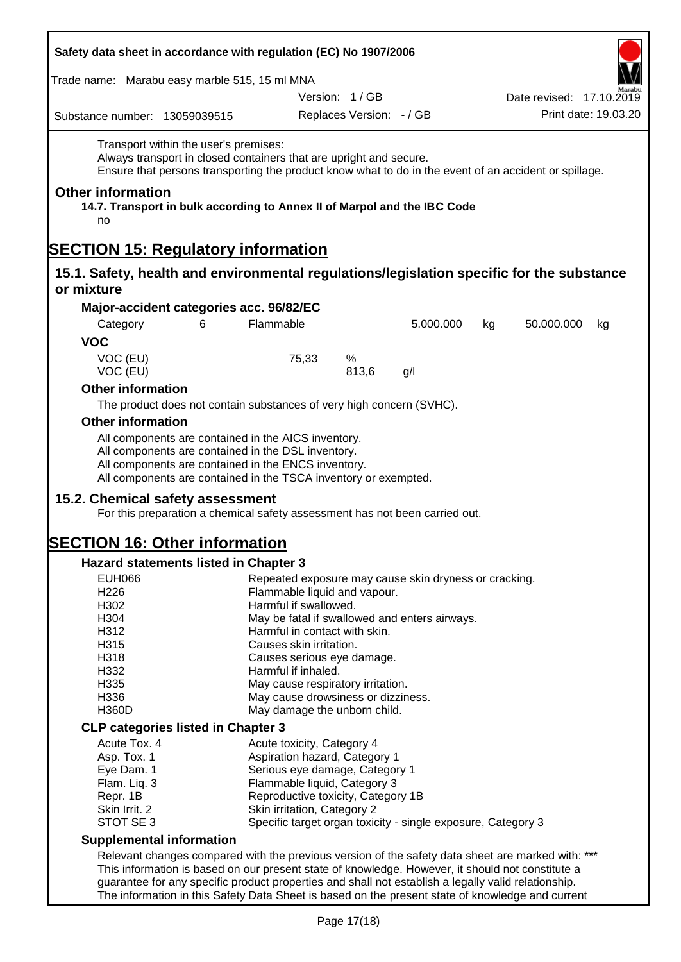| Safety data sheet in accordance with regulation (EC) No 1907/2006                                                                                                                                                                   |                                                                                       |                          |           |    |                          |                      |
|-------------------------------------------------------------------------------------------------------------------------------------------------------------------------------------------------------------------------------------|---------------------------------------------------------------------------------------|--------------------------|-----------|----|--------------------------|----------------------|
| Trade name: Marabu easy marble 515, 15 ml MNA                                                                                                                                                                                       |                                                                                       |                          |           |    |                          |                      |
|                                                                                                                                                                                                                                     |                                                                                       | Version: 1/GB            |           |    | Date revised: 17.10.2019 |                      |
| Substance number: 13059039515                                                                                                                                                                                                       |                                                                                       | Replaces Version: - / GB |           |    |                          | Print date: 19.03.20 |
| Transport within the user's premises:<br>Always transport in closed containers that are upright and secure.<br>Ensure that persons transporting the product know what to do in the event of an accident or spillage.                |                                                                                       |                          |           |    |                          |                      |
| <b>Other information</b><br>14.7. Transport in bulk according to Annex II of Marpol and the IBC Code<br>no                                                                                                                          |                                                                                       |                          |           |    |                          |                      |
| <b>SECTION 15: Regulatory information</b>                                                                                                                                                                                           |                                                                                       |                          |           |    |                          |                      |
| 15.1. Safety, health and environmental regulations/legislation specific for the substance<br>or mixture                                                                                                                             |                                                                                       |                          |           |    |                          |                      |
| Major-accident categories acc. 96/82/EC                                                                                                                                                                                             |                                                                                       |                          |           |    |                          |                      |
| 6<br>Category                                                                                                                                                                                                                       | Flammable                                                                             |                          | 5.000.000 | kg | 50.000.000               | kg                   |
| <b>VOC</b>                                                                                                                                                                                                                          |                                                                                       |                          |           |    |                          |                      |
| VOC (EU)<br>VOC (EU)                                                                                                                                                                                                                | 75,33                                                                                 | %<br>813,6               | g/l       |    |                          |                      |
| <b>Other information</b>                                                                                                                                                                                                            |                                                                                       |                          |           |    |                          |                      |
| The product does not contain substances of very high concern (SVHC).                                                                                                                                                                |                                                                                       |                          |           |    |                          |                      |
| <b>Other information</b>                                                                                                                                                                                                            |                                                                                       |                          |           |    |                          |                      |
| All components are contained in the AICS inventory.<br>All components are contained in the DSL inventory.<br>All components are contained in the ENCS inventory.<br>All components are contained in the TSCA inventory or exempted. |                                                                                       |                          |           |    |                          |                      |
| 15.2. Chemical safety assessment<br>For this preparation a chemical safety assessment has not been carried out.                                                                                                                     |                                                                                       |                          |           |    |                          |                      |
| <b>SECTION 16: Other information</b>                                                                                                                                                                                                |                                                                                       |                          |           |    |                          |                      |
| <b>Hazard statements listed in Chapter 3</b>                                                                                                                                                                                        |                                                                                       |                          |           |    |                          |                      |
| <b>EUH066</b><br>H226                                                                                                                                                                                                               | Repeated exposure may cause skin dryness or cracking.<br>Flammable liquid and vapour. |                          |           |    |                          |                      |
| H302                                                                                                                                                                                                                                | Harmful if swallowed.                                                                 |                          |           |    |                          |                      |
| H304                                                                                                                                                                                                                                | May be fatal if swallowed and enters airways.                                         |                          |           |    |                          |                      |
| H312                                                                                                                                                                                                                                | Harmful in contact with skin.                                                         |                          |           |    |                          |                      |
| H315                                                                                                                                                                                                                                | Causes skin irritation.                                                               |                          |           |    |                          |                      |
| H318                                                                                                                                                                                                                                | Causes serious eye damage.                                                            |                          |           |    |                          |                      |
| H332                                                                                                                                                                                                                                | Harmful if inhaled.                                                                   |                          |           |    |                          |                      |
| H335                                                                                                                                                                                                                                | May cause respiratory irritation.                                                     |                          |           |    |                          |                      |
| H336                                                                                                                                                                                                                                | May cause drowsiness or dizziness.                                                    |                          |           |    |                          |                      |
| H360D                                                                                                                                                                                                                               | May damage the unborn child.                                                          |                          |           |    |                          |                      |
| <b>CLP categories listed in Chapter 3</b>                                                                                                                                                                                           |                                                                                       |                          |           |    |                          |                      |
| Acute Tox. 4                                                                                                                                                                                                                        | Acute toxicity, Category 4                                                            |                          |           |    |                          |                      |
| Asp. Tox. 1                                                                                                                                                                                                                         | Aspiration hazard, Category 1                                                         |                          |           |    |                          |                      |
| Eye Dam. 1                                                                                                                                                                                                                          | Serious eye damage, Category 1                                                        |                          |           |    |                          |                      |
| Flam. Liq. 3                                                                                                                                                                                                                        | Flammable liquid, Category 3                                                          |                          |           |    |                          |                      |
| Repr. 1B                                                                                                                                                                                                                            | Reproductive toxicity, Category 1B                                                    |                          |           |    |                          |                      |
| Skin Irrit. 2                                                                                                                                                                                                                       | Skin irritation, Category 2                                                           |                          |           |    |                          |                      |
| STOT SE 3                                                                                                                                                                                                                           | Specific target organ toxicity - single exposure, Category 3                          |                          |           |    |                          |                      |
| <b>Supplemental information</b>                                                                                                                                                                                                     |                                                                                       |                          |           |    |                          |                      |
| Relevant changes compared with the previous version of the safety data sheet are marked with: ***                                                                                                                                   |                                                                                       |                          |           |    |                          |                      |
| This information is based on our present state of knowledge. However, it should not constitute a                                                                                                                                    |                                                                                       |                          |           |    |                          |                      |
| guarantee for any specific product properties and shall not establish a legally valid relationship.<br>The information in this Safety Data Sheet is based on the present state of knowledge and current                             |                                                                                       |                          |           |    |                          |                      |